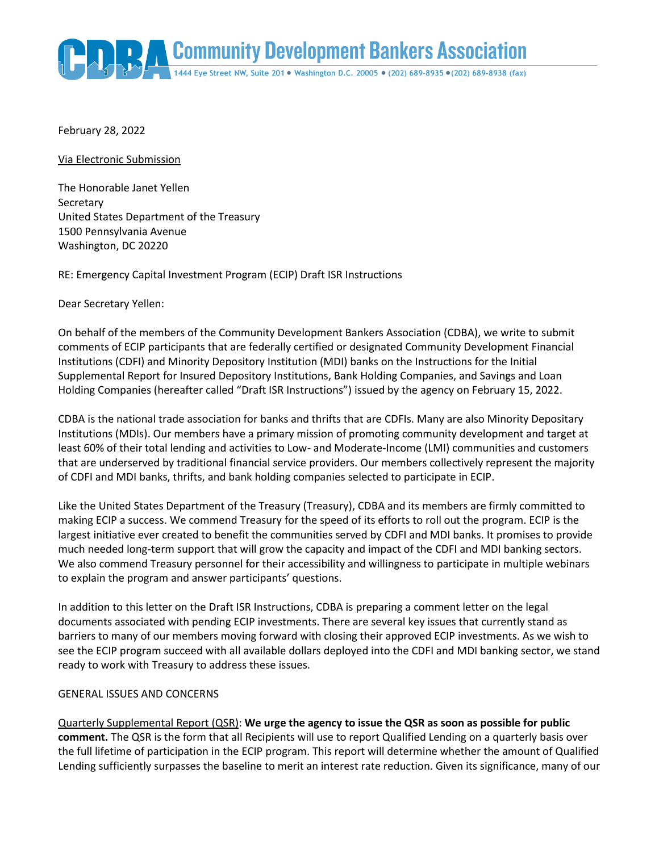Community Development Bankers Association

February 28, 2022

Via Electronic Submission

The Honorable Janet Yellen **Secretary** United States Department of the Treasury 1500 Pennsylvania Avenue Washington, DC 20220

RE: Emergency Capital Investment Program (ECIP) Draft ISR Instructions

Dear Secretary Yellen:

On behalf of the members of the Community Development Bankers Association (CDBA), we write to submit comments of ECIP participants that are federally certified or designated Community Development Financial Institutions (CDFI) and Minority Depository Institution (MDI) banks on the Instructions for the Initial Supplemental Report for Insured Depository Institutions, Bank Holding Companies, and Savings and Loan Holding Companies (hereafter called "Draft ISR Instructions") issued by the agency on February 15, 2022.

CDBA is the national trade association for banks and thrifts that are CDFIs. Many are also Minority Depositary Institutions (MDIs). Our members have a primary mission of promoting community development and target at least 60% of their total lending and activities to Low- and Moderate-Income (LMI) communities and customers that are underserved by traditional financial service providers. Our members collectively represent the majority of CDFI and MDI banks, thrifts, and bank holding companies selected to participate in ECIP.

Like the United States Department of the Treasury (Treasury), CDBA and its members are firmly committed to making ECIP a success. We commend Treasury for the speed of its efforts to roll out the program. ECIP is the largest initiative ever created to benefit the communities served by CDFI and MDI banks. It promises to provide much needed long-term support that will grow the capacity and impact of the CDFI and MDI banking sectors. We also commend Treasury personnel for their accessibility and willingness to participate in multiple webinars to explain the program and answer participants' questions.

In addition to this letter on the Draft ISR Instructions, CDBA is preparing a comment letter on the legal documents associated with pending ECIP investments. There are several key issues that currently stand as barriers to many of our members moving forward with closing their approved ECIP investments. As we wish to see the ECIP program succeed with all available dollars deployed into the CDFI and MDI banking sector, we stand ready to work with Treasury to address these issues.

## GENERAL ISSUES AND CONCERNS

Quarterly Supplemental Report (QSR): **We urge the agency to issue the QSR as soon as possible for public comment.** The QSR is the form that all Recipients will use to report Qualified Lending on a quarterly basis over the full lifetime of participation in the ECIP program. This report will determine whether the amount of Qualified Lending sufficiently surpasses the baseline to merit an interest rate reduction. Given its significance, many of our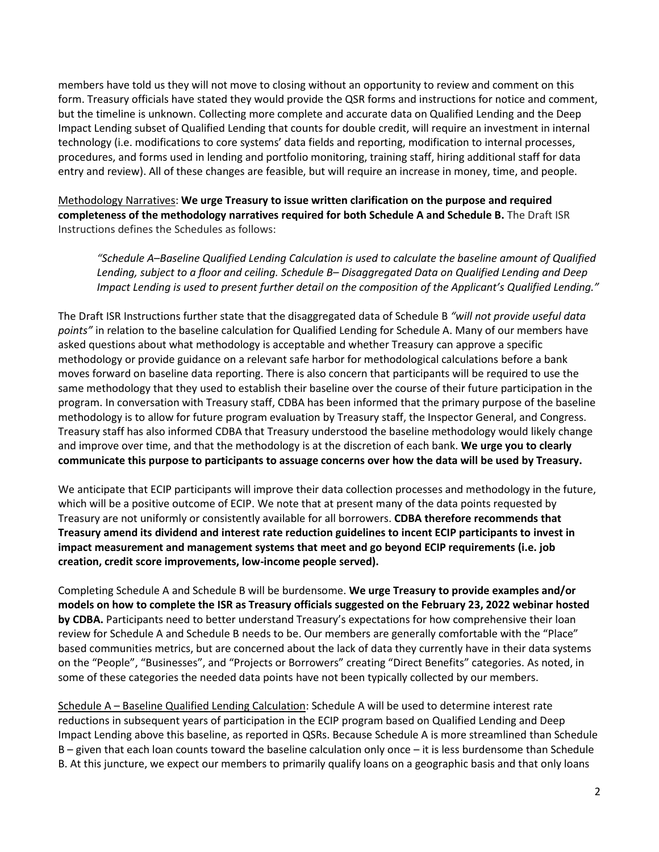members have told us they will not move to closing without an opportunity to review and comment on this form. Treasury officials have stated they would provide the QSR forms and instructions for notice and comment, but the timeline is unknown. Collecting more complete and accurate data on Qualified Lending and the Deep Impact Lending subset of Qualified Lending that counts for double credit, will require an investment in internal technology (i.e. modifications to core systems' data fields and reporting, modification to internal processes, procedures, and forms used in lending and portfolio monitoring, training staff, hiring additional staff for data entry and review). All of these changes are feasible, but will require an increase in money, time, and people.

Methodology Narratives: **We urge Treasury to issue written clarification on the purpose and required completeness of the methodology narratives required for both Schedule A and Schedule B.** The Draft ISR Instructions defines the Schedules as follows:

*"Schedule A–Baseline Qualified Lending Calculation is used to calculate the baseline amount of Qualified Lending, subject to a floor and ceiling. Schedule B– Disaggregated Data on Qualified Lending and Deep Impact Lending is used to present further detail on the composition of the Applicant's Qualified Lending."*

The Draft ISR Instructions further state that the disaggregated data of Schedule B *"will not provide useful data points"* in relation to the baseline calculation for Qualified Lending for Schedule A. Many of our members have asked questions about what methodology is acceptable and whether Treasury can approve a specific methodology or provide guidance on a relevant safe harbor for methodological calculations before a bank moves forward on baseline data reporting. There is also concern that participants will be required to use the same methodology that they used to establish their baseline over the course of their future participation in the program. In conversation with Treasury staff, CDBA has been informed that the primary purpose of the baseline methodology is to allow for future program evaluation by Treasury staff, the Inspector General, and Congress. Treasury staff has also informed CDBA that Treasury understood the baseline methodology would likely change and improve over time, and that the methodology is at the discretion of each bank. **We urge you to clearly communicate this purpose to participants to assuage concerns over how the data will be used by Treasury.**

We anticipate that ECIP participants will improve their data collection processes and methodology in the future, which will be a positive outcome of ECIP. We note that at present many of the data points requested by Treasury are not uniformly or consistently available for all borrowers. **CDBA therefore recommends that Treasury amend its dividend and interest rate reduction guidelines to incent ECIP participants to invest in impact measurement and management systems that meet and go beyond ECIP requirements (i.e. job creation, credit score improvements, low-income people served).**

Completing Schedule A and Schedule B will be burdensome. **We urge Treasury to provide examples and/or models on how to complete the ISR as Treasury officials suggested on the February 23, 2022 webinar hosted by CDBA.** Participants need to better understand Treasury's expectations for how comprehensive their loan review for Schedule A and Schedule B needs to be. Our members are generally comfortable with the "Place" based communities metrics, but are concerned about the lack of data they currently have in their data systems on the "People", "Businesses", and "Projects or Borrowers" creating "Direct Benefits" categories. As noted, in some of these categories the needed data points have not been typically collected by our members.

Schedule A – Baseline Qualified Lending Calculation: Schedule A will be used to determine interest rate reductions in subsequent years of participation in the ECIP program based on Qualified Lending and Deep Impact Lending above this baseline, as reported in QSRs. Because Schedule A is more streamlined than Schedule B – given that each loan counts toward the baseline calculation only once – it is less burdensome than Schedule B. At this juncture, we expect our members to primarily qualify loans on a geographic basis and that only loans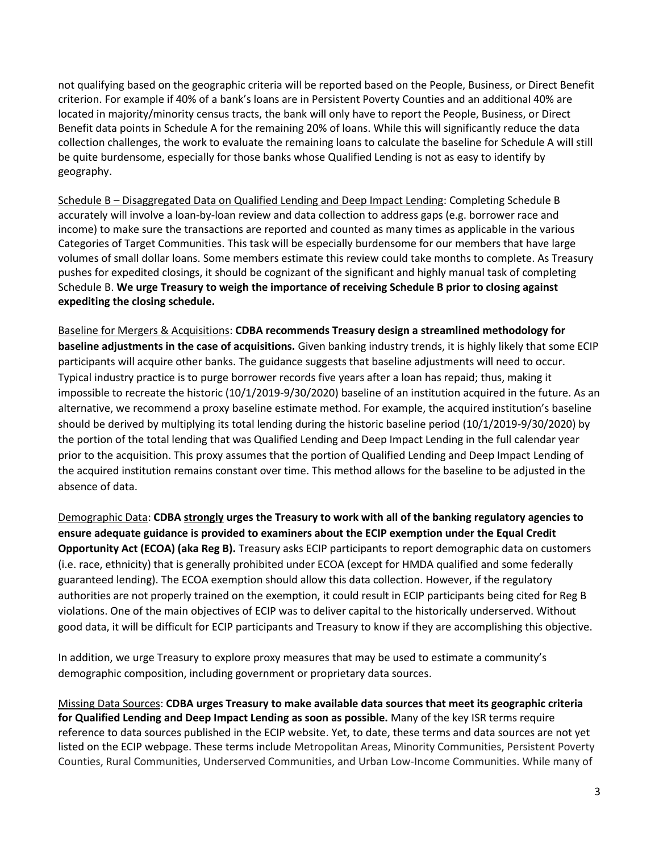not qualifying based on the geographic criteria will be reported based on the People, Business, or Direct Benefit criterion. For example if 40% of a bank's loans are in Persistent Poverty Counties and an additional 40% are located in majority/minority census tracts, the bank will only have to report the People, Business, or Direct Benefit data points in Schedule A for the remaining 20% of loans. While this will significantly reduce the data collection challenges, the work to evaluate the remaining loans to calculate the baseline for Schedule A will still be quite burdensome, especially for those banks whose Qualified Lending is not as easy to identify by geography.

Schedule B – Disaggregated Data on Qualified Lending and Deep Impact Lending: Completing Schedule B accurately will involve a loan-by-loan review and data collection to address gaps (e.g. borrower race and income) to make sure the transactions are reported and counted as many times as applicable in the various Categories of Target Communities. This task will be especially burdensome for our members that have large volumes of small dollar loans. Some members estimate this review could take months to complete. As Treasury pushes for expedited closings, it should be cognizant of the significant and highly manual task of completing Schedule B. **We urge Treasury to weigh the importance of receiving Schedule B prior to closing against expediting the closing schedule.**

Baseline for Mergers & Acquisitions: **CDBA recommends Treasury design a streamlined methodology for baseline adjustments in the case of acquisitions.** Given banking industry trends, it is highly likely that some ECIP participants will acquire other banks. The guidance suggests that baseline adjustments will need to occur. Typical industry practice is to purge borrower records five years after a loan has repaid; thus, making it impossible to recreate the historic (10/1/2019-9/30/2020) baseline of an institution acquired in the future. As an alternative, we recommend a proxy baseline estimate method. For example, the acquired institution's baseline should be derived by multiplying its total lending during the historic baseline period (10/1/2019-9/30/2020) by the portion of the total lending that was Qualified Lending and Deep Impact Lending in the full calendar year prior to the acquisition. This proxy assumes that the portion of Qualified Lending and Deep Impact Lending of the acquired institution remains constant over time. This method allows for the baseline to be adjusted in the absence of data.

Demographic Data: **CDBA strongly urges the Treasury to work with all of the banking regulatory agencies to ensure adequate guidance is provided to examiners about the ECIP exemption under the Equal Credit Opportunity Act (ECOA) (aka Reg B).** Treasury asks ECIP participants to report demographic data on customers (i.e. race, ethnicity) that is generally prohibited under ECOA (except for HMDA qualified and some federally guaranteed lending). The ECOA exemption should allow this data collection. However, if the regulatory authorities are not properly trained on the exemption, it could result in ECIP participants being cited for Reg B violations. One of the main objectives of ECIP was to deliver capital to the historically underserved. Without good data, it will be difficult for ECIP participants and Treasury to know if they are accomplishing this objective.

In addition, we urge Treasury to explore proxy measures that may be used to estimate a community's demographic composition, including government or proprietary data sources.

Missing Data Sources: **CDBA urges Treasury to make available data sources that meet its geographic criteria for Qualified Lending and Deep Impact Lending as soon as possible.** Many of the key ISR terms require reference to data sources published in the ECIP website. Yet, to date, these terms and data sources are not yet listed on the ECIP webpage. These terms include Metropolitan Areas, Minority Communities, Persistent Poverty Counties, Rural Communities, Underserved Communities, and Urban Low-Income Communities. While many of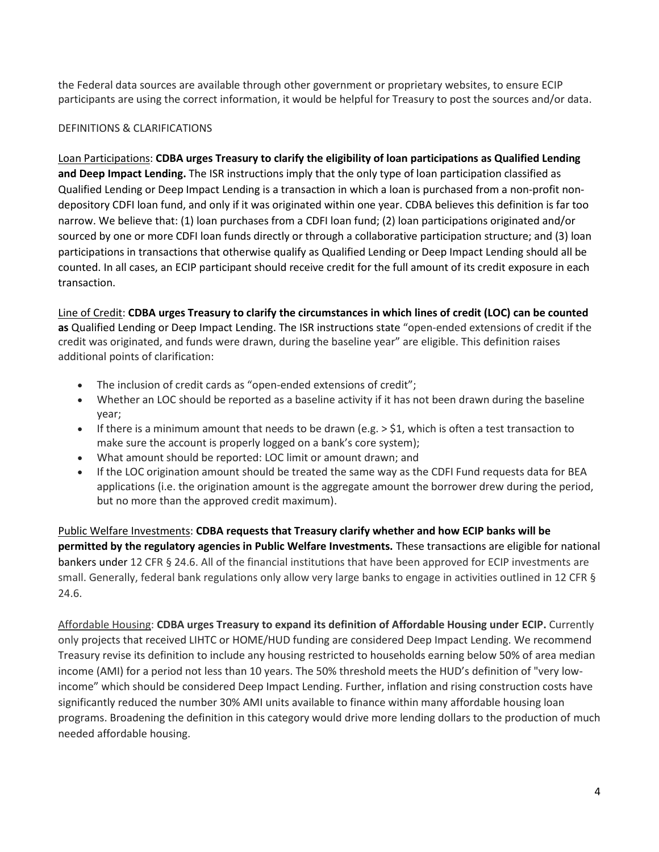the Federal data sources are available through other government or proprietary websites, to ensure ECIP participants are using the correct information, it would be helpful for Treasury to post the sources and/or data.

## DEFINITIONS & CLARIFICATIONS

Loan Participations: **CDBA urges Treasury to clarify the eligibility of loan participations as Qualified Lending and Deep Impact Lending.** The ISR instructions imply that the only type of loan participation classified as Qualified Lending or Deep Impact Lending is a transaction in which a loan is purchased from a non-profit nondepository CDFI loan fund, and only if it was originated within one year. CDBA believes this definition is far too narrow. We believe that: (1) loan purchases from a CDFI loan fund; (2) loan participations originated and/or sourced by one or more CDFI loan funds directly or through a collaborative participation structure; and (3) loan participations in transactions that otherwise qualify as Qualified Lending or Deep Impact Lending should all be counted. In all cases, an ECIP participant should receive credit for the full amount of its credit exposure in each transaction.

Line of Credit: **CDBA urges Treasury to clarify the circumstances in which lines of credit (LOC) can be counted as** Qualified Lending or Deep Impact Lending. The ISR instructions state "open-ended extensions of credit if the credit was originated, and funds were drawn, during the baseline year" are eligible. This definition raises additional points of clarification:

- The inclusion of credit cards as "open-ended extensions of credit";
- Whether an LOC should be reported as a baseline activity if it has not been drawn during the baseline year;
- If there is a minimum amount that needs to be drawn (e.g.  $>$  \$1, which is often a test transaction to make sure the account is properly logged on a bank's core system);
- What amount should be reported: LOC limit or amount drawn; and
- If the LOC origination amount should be treated the same way as the CDFI Fund requests data for BEA applications (i.e. the origination amount is the aggregate amount the borrower drew during the period, but no more than the approved credit maximum).

Public Welfare Investments: **CDBA requests that Treasury clarify whether and how ECIP banks will be permitted by the regulatory agencies in Public Welfare Investments.** These transactions are eligible for national bankers under 12 CFR § 24.6. All of the financial institutions that have been approved for ECIP investments are small. Generally, federal bank regulations only allow very large banks to engage in activities outlined in 12 CFR § 24.6.

Affordable Housing: **CDBA urges Treasury to expand its definition of Affordable Housing under ECIP.** Currently only projects that received LIHTC or HOME/HUD funding are considered Deep Impact Lending. We recommend Treasury revise its definition to include any housing restricted to households earning below 50% of area median income (AMI) for a period not less than 10 years. The 50% threshold meets the HUD's definition of "very lowincome" which should be considered Deep Impact Lending. Further, inflation and rising construction costs have significantly reduced the number 30% AMI units available to finance within many affordable housing loan programs. Broadening the definition in this category would drive more lending dollars to the production of much needed affordable housing.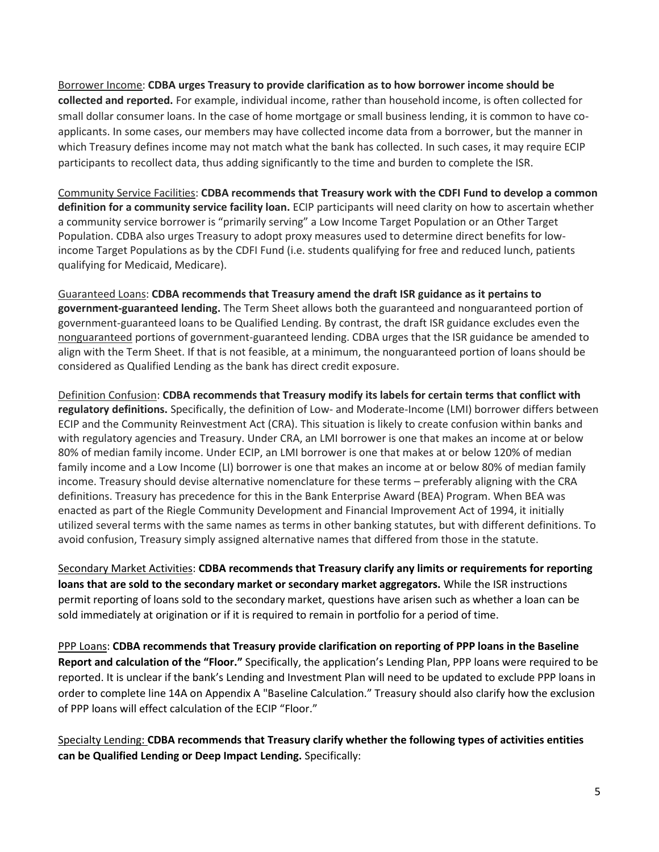Borrower Income: **CDBA urges Treasury to provide clarification as to how borrower income should be collected and reported.** For example, individual income, rather than household income, is often collected for small dollar consumer loans. In the case of home mortgage or small business lending, it is common to have coapplicants. In some cases, our members may have collected income data from a borrower, but the manner in which Treasury defines income may not match what the bank has collected. In such cases, it may require ECIP participants to recollect data, thus adding significantly to the time and burden to complete the ISR.

Community Service Facilities: **CDBA recommends that Treasury work with the CDFI Fund to develop a common definition for a community service facility loan.** ECIP participants will need clarity on how to ascertain whether a community service borrower is "primarily serving" a Low Income Target Population or an Other Target Population. CDBA also urges Treasury to adopt proxy measures used to determine direct benefits for lowincome Target Populations as by the CDFI Fund (i.e. students qualifying for free and reduced lunch, patients qualifying for Medicaid, Medicare).

Guaranteed Loans: **CDBA recommends that Treasury amend the draft ISR guidance as it pertains to government-guaranteed lending.** The Term Sheet allows both the guaranteed and nonguaranteed portion of government-guaranteed loans to be Qualified Lending. By contrast, the draft ISR guidance excludes even the nonguaranteed portions of government-guaranteed lending. CDBA urges that the ISR guidance be amended to align with the Term Sheet. If that is not feasible, at a minimum, the nonguaranteed portion of loans should be considered as Qualified Lending as the bank has direct credit exposure.

Definition Confusion: **CDBA recommends that Treasury modify its labels for certain terms that conflict with regulatory definitions.** Specifically, the definition of Low- and Moderate-Income (LMI) borrower differs between ECIP and the Community Reinvestment Act (CRA). This situation is likely to create confusion within banks and with regulatory agencies and Treasury. Under CRA, an LMI borrower is one that makes an income at or below 80% of median family income. Under ECIP, an LMI borrower is one that makes at or below 120% of median family income and a Low Income (LI) borrower is one that makes an income at or below 80% of median family income. Treasury should devise alternative nomenclature for these terms – preferably aligning with the CRA definitions. Treasury has precedence for this in the Bank Enterprise Award (BEA) Program. When BEA was enacted as part of the Riegle Community Development and Financial Improvement Act of 1994, it initially utilized several terms with the same names as terms in other banking statutes, but with different definitions. To avoid confusion, Treasury simply assigned alternative names that differed from those in the statute.

Secondary Market Activities: **CDBA recommends that Treasury clarify any limits or requirements for reporting loans that are sold to the secondary market or secondary market aggregators.** While the ISR instructions permit reporting of loans sold to the secondary market, questions have arisen such as whether a loan can be sold immediately at origination or if it is required to remain in portfolio for a period of time.

PPP Loans: **CDBA recommends that Treasury provide clarification on reporting of PPP loans in the Baseline Report and calculation of the "Floor."** Specifically, the application's Lending Plan, PPP loans were required to be reported. It is unclear if the bank's Lending and Investment Plan will need to be updated to exclude PPP loans in order to complete line 14A on Appendix A "Baseline Calculation." Treasury should also clarify how the exclusion of PPP loans will effect calculation of the ECIP "Floor."

Specialty Lending: **CDBA recommends that Treasury clarify whether the following types of activities entities can be Qualified Lending or Deep Impact Lending.** Specifically: